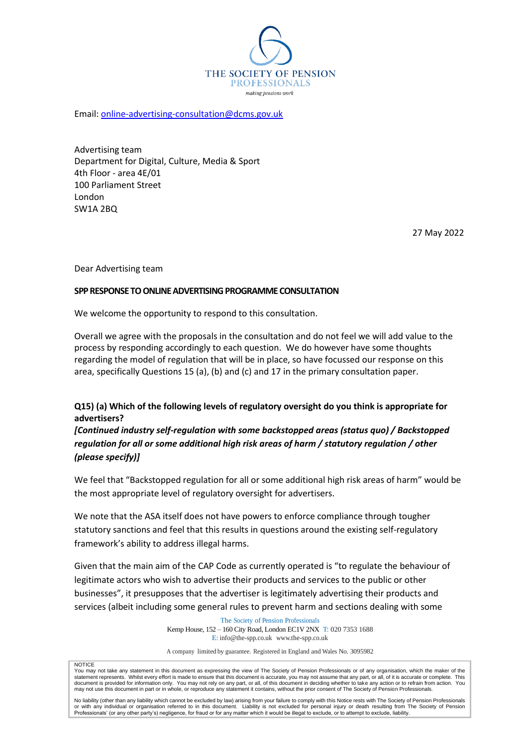

Email: [online-advertising-consultation@dcms.gov.uk](mailto:online-advertising-consultation@dcms.gov.uk)

Advertising team Department for Digital, Culture, Media & Sport 4th Floor - area 4E/01 100 Parliament Street London SW1A 2BQ

27 May 2022

Dear Advertising team

#### **SPP RESPONSE TO ONLINE ADVERTISING PROGRAMME CONSULTATION**

We welcome the opportunity to respond to this consultation.

Overall we agree with the proposals in the consultation and do not feel we will add value to the process by responding accordingly to each question. We do however have some thoughts regarding the model of regulation that will be in place, so have focussed our response on this area, specifically Questions 15 (a), (b) and (c) and 17 in the primary consultation paper.

**Q15) (a) Which of the following levels of regulatory oversight do you think is appropriate for advertisers?**

*[Continued industry self-regulation with some backstopped areas (status quo) / Backstopped regulation for all or some additional high risk areas of harm / statutory regulation / other (please specify)]*

We feel that "Backstopped regulation for all or some additional high risk areas of harm" would be the most appropriate level of regulatory oversight for advertisers.

We note that the ASA itself does not have powers to enforce compliance through tougher statutory sanctions and feel that this results in questions around the existing self-regulatory framework's ability to address illegal harms.

Given that the main aim of the CAP Code as currently operated is "to regulate the behaviour of legitimate actors who wish to advertise their products and services to the public or other businesses", it presupposes that the advertiser is legitimately advertising their products and services (albeit including some general rules to prevent harm and sections dealing with some

> The Society of Pension Professionals Kemp House, 152 – 160 City Road, London EC1V 2NX T: 020 7353 1688 E: [info@the-spp.co.uk](mailto:info@the-spp.co.uk) [www.the-spp.co.uk](http://www.the-spp.co.uk/)

> A company limited by guarantee. Registered in England and Wales No. 3095982

**NOTICE** 

You may not take any statement in this document as expressing the view of The Society of Pension Professionals or of any organisation, which the maker of the<br>statement represents. Whilst every effort is made to ensure that

No liability (other than any liability which cannot be excluded by law) arising from your failure to comply with this Notice rests with The Society of Pension Professionals or with any individual or organisation referred to in this document. Liability is not excluded for personal injury or death resulting from The Society of Pension<br>Professionals' (or any other party's) negligence, for fraud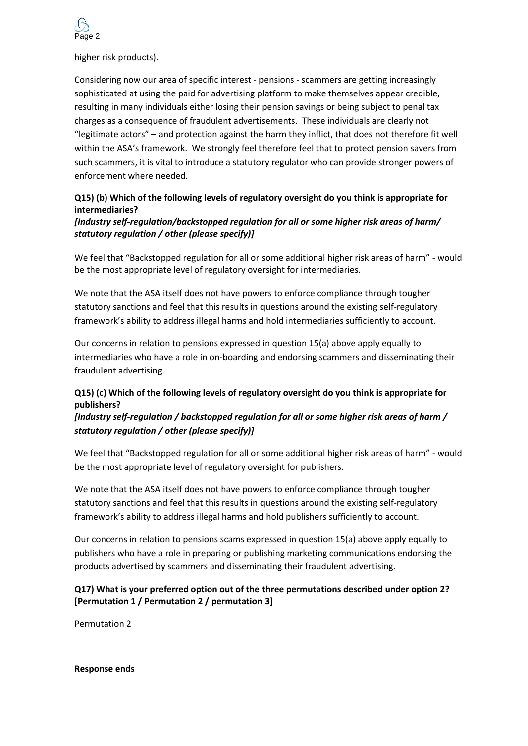

higher risk products).

Considering now our area of specific interest - pensions - scammers are getting increasingly sophisticated at using the paid for advertising platform to make themselves appear credible, resulting in many individuals either losing their pension savings or being subject to penal tax charges as a consequence of fraudulent advertisements. These individuals are clearly not "legitimate actors" – and protection against the harm they inflict, that does not therefore fit well within the ASA's framework. We strongly feel therefore feel that to protect pension savers from such scammers, it is vital to introduce a statutory regulator who can provide stronger powers of enforcement where needed.

## **Q15) (b) Which of the following levels of regulatory oversight do you think is appropriate for intermediaries?**

### *[Industry self-regulation/backstopped regulation for all or some higher risk areas of harm/ statutory regulation / other (please specify)]*

We feel that "Backstopped regulation for all or some additional higher risk areas of harm" - would be the most appropriate level of regulatory oversight for intermediaries.

We note that the ASA itself does not have powers to enforce compliance through tougher statutory sanctions and feel that this results in questions around the existing self-regulatory framework's ability to address illegal harms and hold intermediaries sufficiently to account.

Our concerns in relation to pensions expressed in question 15(a) above apply equally to intermediaries who have a role in on-boarding and endorsing scammers and disseminating their fraudulent advertising.

# **Q15) (c) Which of the following levels of regulatory oversight do you think is appropriate for publishers?**

## *[Industry self-regulation / backstopped regulation for all or some higher risk areas of harm / statutory regulation / other (please specify)]*

We feel that "Backstopped regulation for all or some additional higher risk areas of harm" - would be the most appropriate level of regulatory oversight for publishers.

We note that the ASA itself does not have powers to enforce compliance through tougher statutory sanctions and feel that this results in questions around the existing self-regulatory framework's ability to address illegal harms and hold publishers sufficiently to account.

Our concerns in relation to pensions scams expressed in question 15(a) above apply equally to publishers who have a role in preparing or publishing marketing communications endorsing the products advertised by scammers and disseminating their fraudulent advertising.

## **Q17) What is your preferred option out of the three permutations described under option 2? [Permutation 1 / Permutation 2 / permutation 3]**

Permutation 2

#### **Response ends**